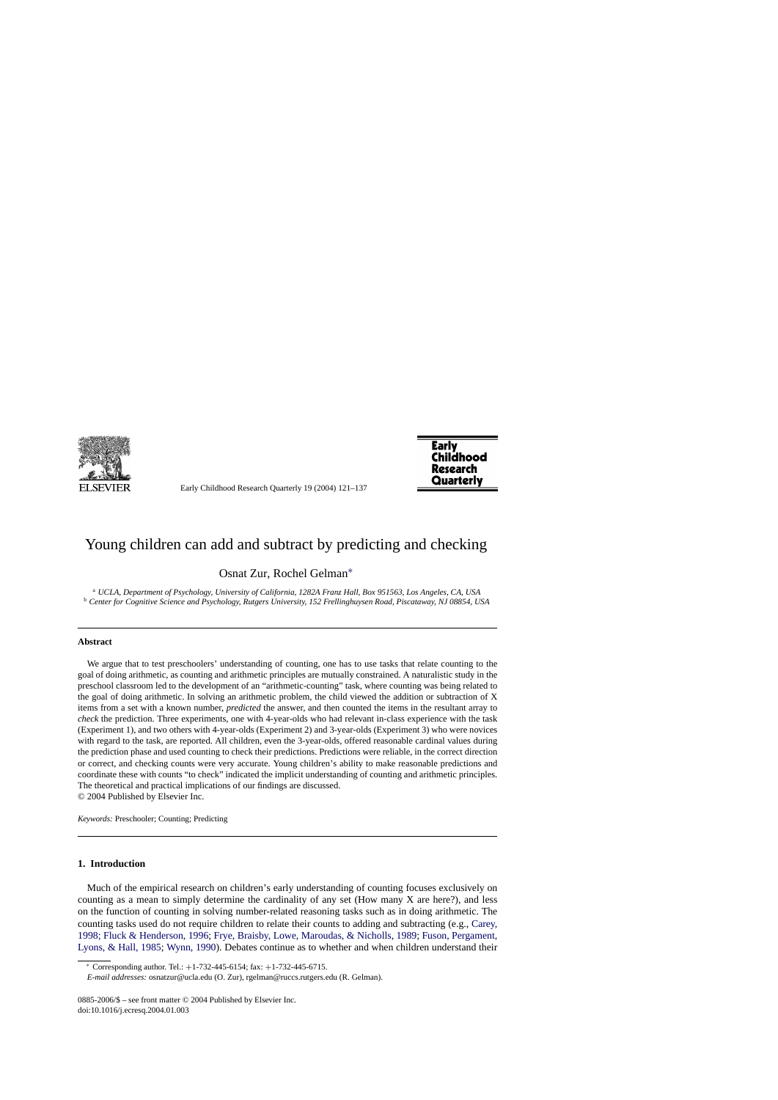

Early Childhood Research Quarterly 19 (2004) 121–137

Early Childhood **Research** Quarterly

# Young children can add and subtract by predicting and checking

Osnat Zur, Rochel Gelman∗

<sup>a</sup> *UCLA, Department of Psychology, University of California, 1282A Franz Hall, Box 951563, Los Angeles, CA, USA* <sup>b</sup> *Center for Cognitive Science and Psychology, Rutgers University, 152 Frellinghuysen Road, Piscataway, NJ 08854, USA*

## **Abstract**

We argue that to test preschoolers' understanding of counting, one has to use tasks that relate counting to the goal of doing arithmetic, as counting and arithmetic principles are mutually constrained. A naturalistic study in the preschool classroom led to the development of an "arithmetic-counting" task, where counting was being related to the goal of doing arithmetic. In solving an arithmetic problem, the child viewed the addition or subtraction of X items from a set with a known number, *predicted* the answer, and then counted the items in the resultant array to *check* the prediction. Three experiments, one with 4-year-olds who had relevant in-class experience with the task (Experiment 1), and two others with 4-year-olds (Experiment 2) and 3-year-olds (Experiment 3) who were novices with regard to the task, are reported. All children, even the 3-year-olds, offered reasonable cardinal values during the prediction phase and used counting to check their predictions. Predictions were reliable, in the correct direction or correct, and checking counts were very accurate. Young children's ability to make reasonable predictions and coordinate these with counts "to check" indicated the implicit understanding of counting and arithmetic principles. The theoretical and practical implications of our findings are discussed. © 2004 Published by Elsevier Inc.

*Keywords:* Preschooler; Counting; Predicting

# **1. Introduction**

Much of the empirical research on children's early understanding of counting focuses exclusively on counting as a mean to simply determine the cardinality of any set (How many X are here?), and less on the function of counting in solving number-related reasoning tasks such as in doing arithmetic. The counting tasks used do not require children to relate their counts to adding and subtracting (e.g., [Carey,](#page-15-0) [1998; Fluck & Henderson, 1996;](#page-15-0) [Frye, Braisby, Lowe, Maroudas, & Nicholls, 1989;](#page-15-0) [Fuson, Pergament,](#page-15-0) [Lyons, & Hall, 1985;](#page-15-0) [Wynn, 1990\).](#page-16-0) Debates continue as to whether and when children understand their

Corresponding author. Tel.:  $+1-732-445-6154$ ; fax:  $+1-732-445-6715$ .

*E-mail addresses:* osnatzur@ucla.edu (O. Zur), rgelman@ruccs.rutgers.edu (R. Gelman).

<sup>0885-2006/\$ –</sup> see front matter © 2004 Published by Elsevier Inc. doi:10.1016/j.ecresq.2004.01.003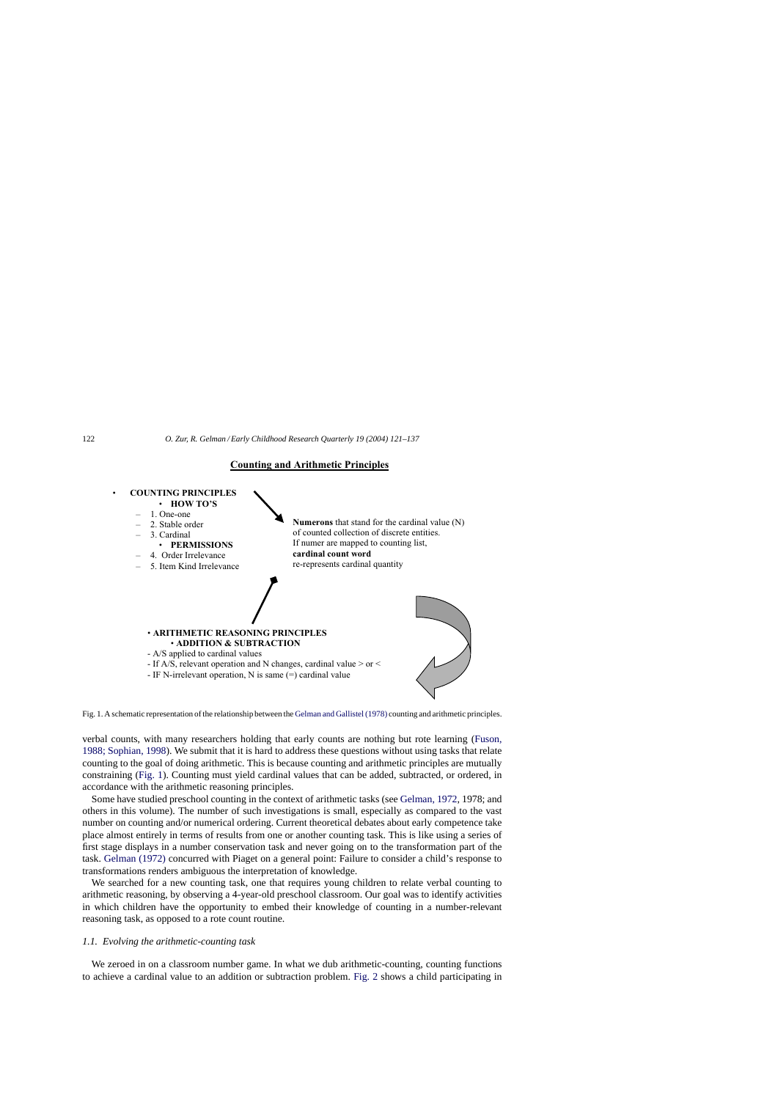#### **Counting and Arithmetic Principles**



Fig. 1. A schematic representation of the relationship between the [Gelman and Gallistel \(1978\)](#page-15-0) counting and arithmetic principles.

verbal counts, with many researchers holding that early counts are nothing but rote learning [\(Fuson,](#page-15-0) [1988; Sophian, 1998\).](#page-15-0) We submit that it is hard to address these questions without using tasks that relate counting to the goal of doing arithmetic. This is because counting and arithmetic principles are mutually constraining (Fig. 1). Counting must yield cardinal values that can be added, subtracted, or ordered, in accordance with the arithmetic reasoning principles.

Some have studied preschool counting in the context of arithmetic tasks (see [Gelman, 1972,](#page-15-0) 1978; and others in this volume). The number of such investigations is small, especially as compared to the vast number on counting and/or numerical ordering. Current theoretical debates about early competence take place almost entirely in terms of results from one or another counting task. This is like using a series of first stage displays in a number conservation task and never going on to the transformation part of the task. [Gelman \(1972\)](#page-15-0) concurred with Piaget on a general point: Failure to consider a child's response to transformations renders ambiguous the interpretation of knowledge.

We searched for a new counting task, one that requires young children to relate verbal counting to arithmetic reasoning, by observing a 4-year-old preschool classroom. Our goal was to identify activities in which children have the opportunity to embed their knowledge of counting in a number-relevant reasoning task, as opposed to a rote count routine.

#### *1.1. Evolving the arithmetic-counting task*

We zeroed in on a classroom number game. In what we dub arithmetic-counting, counting functions to achieve a cardinal value to an addition or subtraction problem. [Fig. 2](#page-2-0) shows a child participating in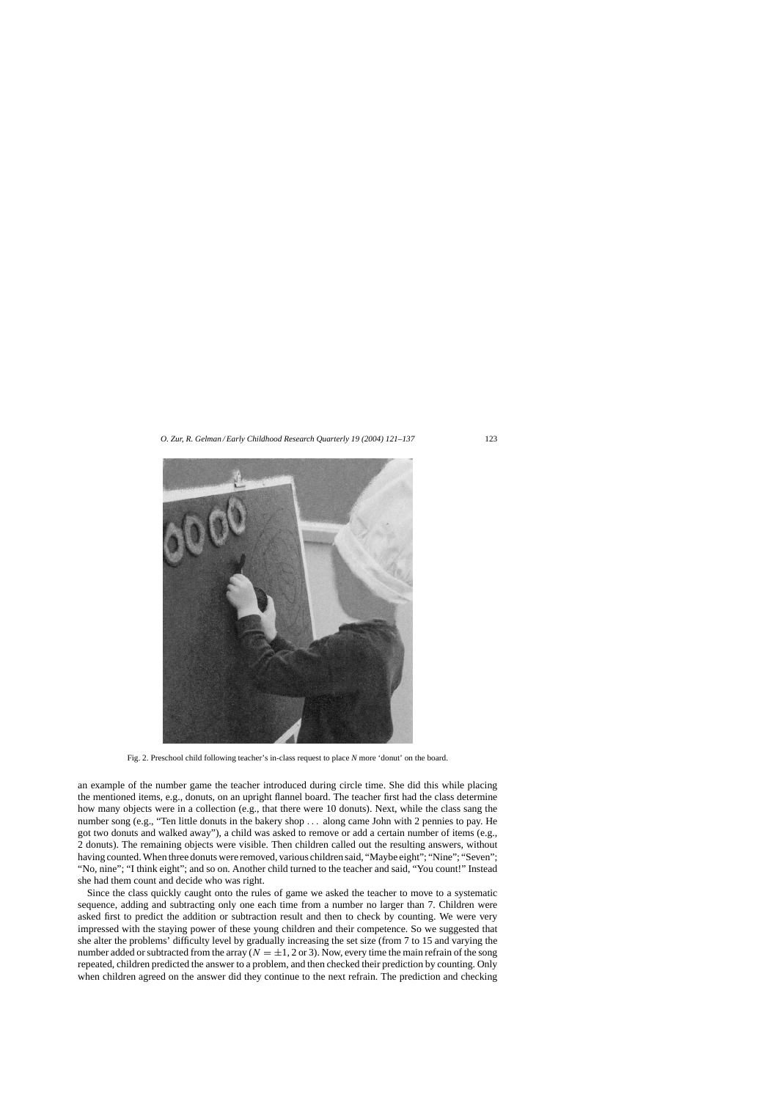<span id="page-2-0"></span>

Fig. 2. Preschool child following teacher's in-class request to place *N* more 'donut' on the board.

an example of the number game the teacher introduced during circle time. She did this while placing the mentioned items, e.g., donuts, on an upright flannel board. The teacher first had the class determine how many objects were in a collection (e.g., that there were 10 donuts). Next, while the class sang the number song (e.g., "Ten little donuts in the bakery shop ... along came John with 2 pennies to pay. He got two donuts and walked away"), a child was asked to remove or add a certain number of items (e.g., 2 donuts). The remaining objects were visible. Then children called out the resulting answers, without having counted. When three donuts were removed, various children said, "Maybe eight"; "Nine"; "Seven"; "No, nine"; "I think eight"; and so on. Another child turned to the teacher and said, "You count!" Instead she had them count and decide who was right.

Since the class quickly caught onto the rules of game we asked the teacher to move to a systematic sequence, adding and subtracting only one each time from a number no larger than 7. Children were asked first to predict the addition or subtraction result and then to check by counting. We were very impressed with the staying power of these young children and their competence. So we suggested that she alter the problems' difficulty level by gradually increasing the set size (from 7 to 15 and varying the number added or subtracted from the array ( $N = \pm 1$ , 2 or 3). Now, every time the main refrain of the song repeated, children predicted the answer to a problem, and then checked their prediction by counting. Only when children agreed on the answer did they continue to the next refrain. The prediction and checking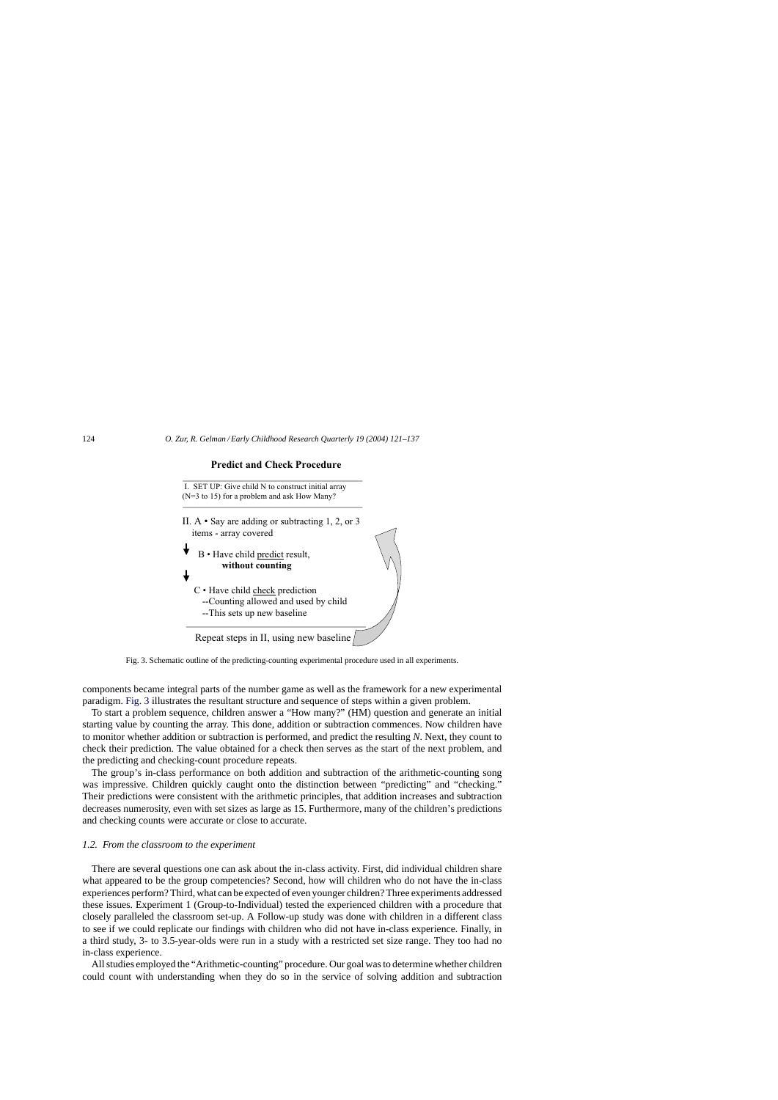#### **Predict and Check Procedure**

<span id="page-3-0"></span>

Fig. 3. Schematic outline of the predicting-counting experimental procedure used in all experiments.

components became integral parts of the number game as well as the framework for a new experimental paradigm. Fig. 3 illustrates the resultant structure and sequence of steps within a given problem.

To start a problem sequence, children answer a "How many?" (HM) question and generate an initial starting value by counting the array. This done, addition or subtraction commences. Now children have to monitor whether addition or subtraction is performed, and predict the resulting *N*. Next, they count to check their prediction. The value obtained for a check then serves as the start of the next problem, and the predicting and checking-count procedure repeats.

The group's in-class performance on both addition and subtraction of the arithmetic-counting song was impressive. Children quickly caught onto the distinction between "predicting" and "checking." Their predictions were consistent with the arithmetic principles, that addition increases and subtraction decreases numerosity, even with set sizes as large as 15. Furthermore, many of the children's predictions and checking counts were accurate or close to accurate.

## *1.2. From the classroom to the experiment*

There are several questions one can ask about the in-class activity. First, did individual children share what appeared to be the group competencies? Second, how will children who do not have the in-class experiences perform? Third, what can be expected of even younger children? Three experiments addressed these issues. Experiment 1 (Group-to-Individual) tested the experienced children with a procedure that closely paralleled the classroom set-up. A Follow-up study was done with children in a different class to see if we could replicate our findings with children who did not have in-class experience. Finally, in a third study, 3- to 3.5-year-olds were run in a study with a restricted set size range. They too had no in-class experience.

All studies employed the "Arithmetic-counting" procedure. Our goal was to determine whether children could count with understanding when they do so in the service of solving addition and subtraction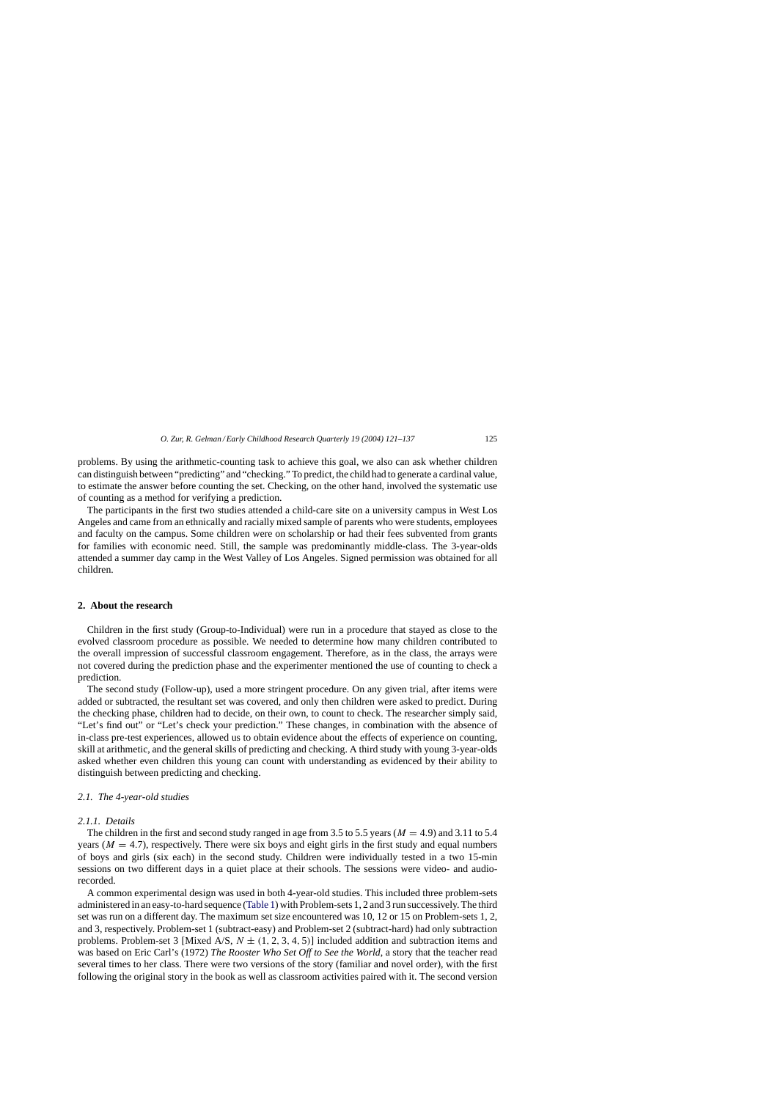problems. By using the arithmetic-counting task to achieve this goal, we also can ask whether children can distinguish between "predicting" and "checking." To predict, the child had to generate a cardinal value, to estimate the answer before counting the set. Checking, on the other hand, involved the systematic use of counting as a method for verifying a prediction.

The participants in the first two studies attended a child-care site on a university campus in West Los Angeles and came from an ethnically and racially mixed sample of parents who were students, employees and faculty on the campus. Some children were on scholarship or had their fees subvented from grants for families with economic need. Still, the sample was predominantly middle-class. The 3-year-olds attended a summer day camp in the West Valley of Los Angeles. Signed permission was obtained for all children.

#### **2. About the research**

Children in the first study (Group-to-Individual) were run in a procedure that stayed as close to the evolved classroom procedure as possible. We needed to determine how many children contributed to the overall impression of successful classroom engagement. Therefore, as in the class, the arrays were not covered during the prediction phase and the experimenter mentioned the use of counting to check a prediction.

The second study (Follow-up), used a more stringent procedure. On any given trial, after items were added or subtracted, the resultant set was covered, and only then children were asked to predict. During the checking phase, children had to decide, on their own, to count to check. The researcher simply said, "Let's find out" or "Let's check your prediction." These changes, in combination with the absence of in-class pre-test experiences, allowed us to obtain evidence about the effects of experience on counting, skill at arithmetic, and the general skills of predicting and checking. A third study with young 3-year-olds asked whether even children this young can count with understanding as evidenced by their ability to distinguish between predicting and checking.

# *2.1. The 4-year-old studies*

#### *2.1.1. Details*

The children in the first and second study ranged in age from 3.5 to 5.5 years ( $M = 4.9$ ) and 3.11 to 5.4 years  $(M = 4.7)$ , respectively. There were six boys and eight girls in the first study and equal numbers of boys and girls (six each) in the second study. Children were individually tested in a two 15-min sessions on two different days in a quiet place at their schools. The sessions were video- and audiorecorded.

A common experimental design was used in both 4-year-old studies. This included three problem-sets administered in an easy-to-hard sequence ([Table 1\) w](#page-5-0)ith Problem-sets 1, 2 and 3 run successively. The third set was run on a different day. The maximum set size encountered was 10, 12 or 15 on Problem-sets 1, 2, and 3, respectively. Problem-set 1 (subtract-easy) and Problem-set 2 (subtract-hard) had only subtraction problems. Problem-set 3 [Mixed A/S,  $N \pm (1, 2, 3, 4, 5)$ ] included addition and subtraction items and was based on Eric Carl's (1972) *The Rooster Who Set Off to See the World*, a story that the teacher read several times to her class. There were two versions of the story (familiar and novel order), with the first following the original story in the book as well as classroom activities paired with it. The second version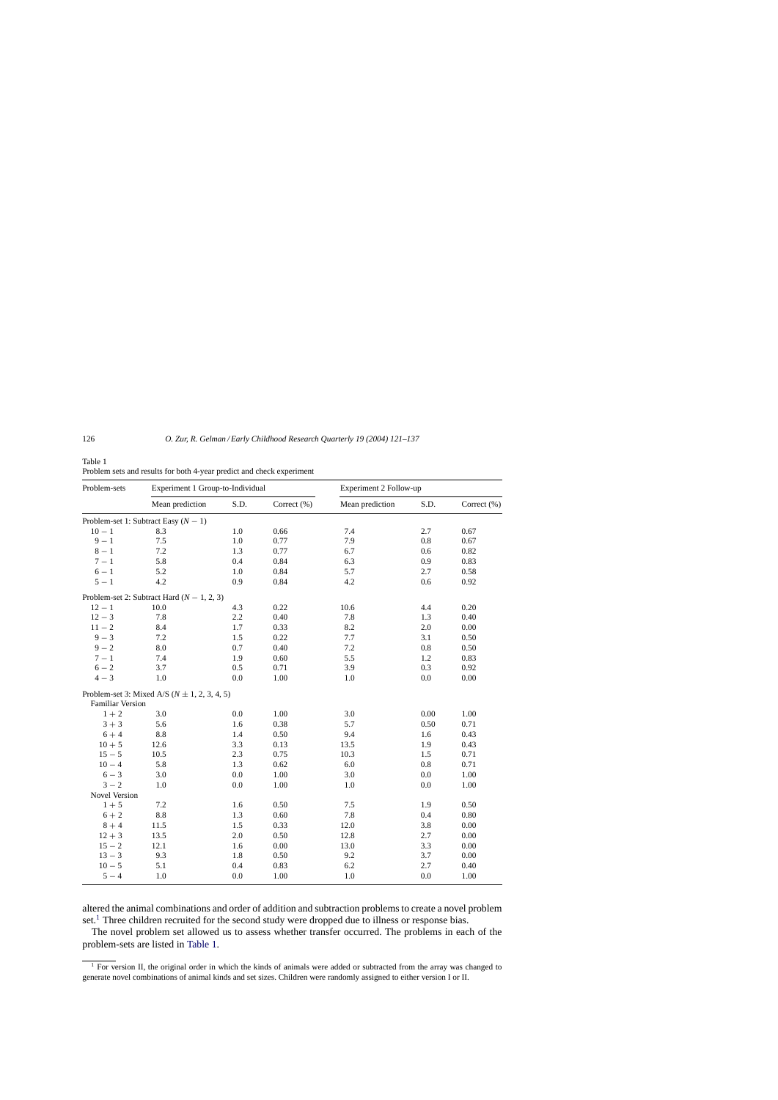<span id="page-5-0"></span>Table 1

| Problem-sets     | Experiment 1 Group-to-Individual                   |         |             | Experiment 2 Follow-up |          |             |
|------------------|----------------------------------------------------|---------|-------------|------------------------|----------|-------------|
|                  | Mean prediction                                    | S.D.    | Correct (%) | Mean prediction        | S.D.     | Correct (%) |
|                  | Problem-set 1: Subtract Easy $(N - 1)$             |         |             |                        |          |             |
| $10 - 1$         | 8.3                                                | 1.0     | 0.66        | 7.4                    | 2.7      | 0.67        |
| $9 - 1$          | 7.5                                                | 1.0     | 0.77        | 7.9                    | $0.8\,$  | 0.67        |
| $8-1$            | 7.2                                                | 1.3     | 0.77        | 6.7                    | 0.6      | 0.82        |
| $7 - 1$          | 5.8                                                | 0.4     | 0.84        | 6.3                    | 0.9      | 0.83        |
| $6 - 1$          | 5.2                                                | 1.0     | 0.84        | 5.7                    | 2.7      | 0.58        |
| $5-1$            | 4.2                                                | 0.9     | 0.84        | 4.2                    | $0.6\,$  | $0.92\,$    |
|                  | Problem-set 2: Subtract Hard $(N - 1, 2, 3)$       |         |             |                        |          |             |
| $12 - 1$         | 10.0                                               | 4.3     | 0.22        | 10.6                   | 4.4      | 0.20        |
| $12 - 3$         | 7.8                                                | 2.2     | 0.40        | 7.8                    | 1.3      | 0.40        |
| $11 - 2$         | 8.4                                                | 1.7     | 0.33        | 8.2                    | $2.0\,$  | 0.00        |
| $9 - 3$          | 7.2                                                | 1.5     | 0.22        | 7.7                    | 3.1      | 0.50        |
| $9 - 2$          | 8.0                                                | 0.7     | 0.40        | $7.2\,$                | $0.8\,$  | 0.50        |
| $7 - 1$          | 7.4                                                | 1.9     | 0.60        | 5.5                    | $1.2\,$  | 0.83        |
| $6 - 2$          | 3.7                                                | 0.5     | 0.71        | 3.9                    | 0.3      | 0.92        |
| $4 - 3$          | 1.0                                                | 0.0     | 1.00        | $1.0\,$                | 0.0      | 0.00        |
|                  | Problem-set 3: Mixed A/S ( $N \pm 1, 2, 3, 4, 5$ ) |         |             |                        |          |             |
| Familiar Version |                                                    |         |             |                        |          |             |
| $1+2\,$          | 3.0                                                | $0.0\,$ | 1.00        | 3.0                    | $0.00\,$ | 1.00        |
| $3 + 3$          | 5.6                                                | 1.6     | 0.38        | 5.7                    | 0.50     | 0.71        |
| $6 + 4$          | 8.8                                                | 1.4     | 0.50        | 9.4                    | 1.6      | 0.43        |
| $10 + 5$         | 12.6                                               | 3.3     | 0.13        | 13.5                   | 1.9      | 0.43        |
| $15 - 5$         | 10.5                                               | 2.3     | 0.75        | 10.3                   | 1.5      | 0.71        |
| $10 - 4$         | 5.8                                                | 1.3     | 0.62        | $6.0\,$                | $0.8\,$  | 0.71        |
| $6 - 3$          | 3.0                                                | 0.0     | 1.00        | 3.0                    | 0.0      | 1.00        |
| $3 - 2$          | 1.0                                                | 0.0     | 1.00        | $1.0\,$                | $0.0\,$  | 1.00        |
| Novel Version    |                                                    |         |             |                        |          |             |
| $1 + 5$          | 7.2                                                | 1.6     | 0.50        | 7.5                    | 1.9      | 0.50        |
| $6 + 2$          | 8.8                                                | 1.3     | 0.60        | 7.8                    | 0.4      | 0.80        |
| $8 + 4$          | 11.5                                               | 1.5     | 0.33        | 12.0                   | 3.8      | $0.00\,$    |
| $12 + 3$         | 13.5                                               | $2.0$   | 0.50        | 12.8                   | 2.7      | $0.00\,$    |
| $15 - 2$         | 12.1                                               | 1.6     | 0.00        | 13.0                   | 3.3      | 0.00        |
| $13 - 3$         | 9.3                                                | 1.8     | 0.50        | 9.2                    | 3.7      | 0.00        |
| $10 - 5$         | 5.1                                                | 0.4     | 0.83        | 6.2                    | 2.7      | 0.40        |
| $5 - 4$          | 1.0                                                | $0.0\,$ | 1.00        | $1.0\,$                | 0.0      | 1.00        |

Problem sets and results for both 4-year predict and check experiment

altered the animal combinations and order of addition and subtraction problems to create a novel problem set.<sup>1</sup> Three children recruited for the second study were dropped due to illness or response bias.

The novel problem set allowed us to assess whether transfer occurred. The problems in each of the problem-sets are listed in Table 1.

<sup>&</sup>lt;sup>1</sup> For version II, the original order in which the kinds of animals were added or subtracted from the array was changed to generate novel combinations of animal kinds and set sizes. Children were randomly assigned to either version I or II.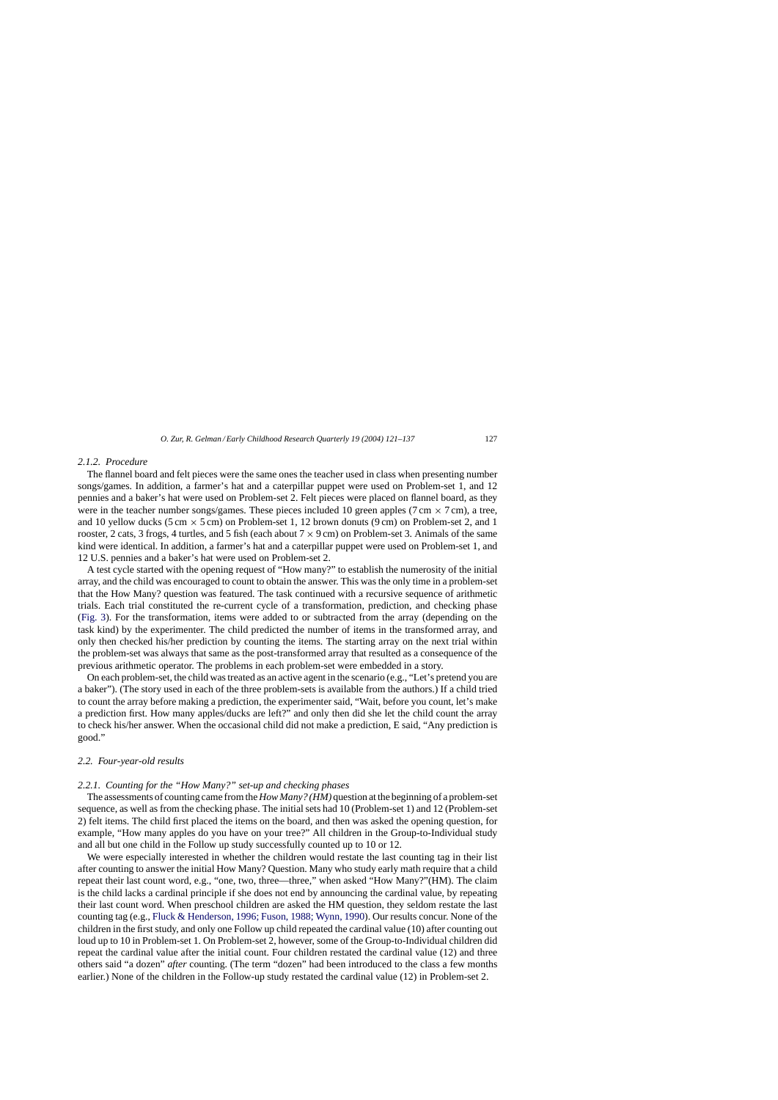#### *2.1.2. Procedure*

The flannel board and felt pieces were the same ones the teacher used in class when presenting number songs/games. In addition, a farmer's hat and a caterpillar puppet were used on Problem-set 1, and 12 pennies and a baker's hat were used on Problem-set 2. Felt pieces were placed on flannel board, as they were in the teacher number songs/games. These pieces included 10 green apples (7 cm  $\times$  7 cm), a tree, and 10 yellow ducks (5 cm  $\times$  5 cm) on Problem-set 1, 12 brown donuts (9 cm) on Problem-set 2, and 1 rooster, 2 cats, 3 frogs, 4 turtles, and 5 fish (each about  $7 \times 9$  cm) on Problem-set 3. Animals of the same kind were identical. In addition, a farmer's hat and a caterpillar puppet were used on Problem-set 1, and 12 U.S. pennies and a baker's hat were used on Problem-set 2.

A test cycle started with the opening request of "How many?" to establish the numerosity of the initial array, and the child was encouraged to count to obtain the answer. This was the only time in a problem-set that the How Many? question was featured. The task continued with a recursive sequence of arithmetic trials. Each trial constituted the re-current cycle of a transformation, prediction, and checking phase ([Fig. 3\).](#page-3-0) For the transformation, items were added to or subtracted from the array (depending on the task kind) by the experimenter. The child predicted the number of items in the transformed array, and only then checked his/her prediction by counting the items. The starting array on the next trial within the problem-set was always that same as the post-transformed array that resulted as a consequence of the previous arithmetic operator. The problems in each problem-set were embedded in a story.

On each problem-set, the child was treated as an active agent in the scenario (e.g., "Let's pretend you are a baker"). (The story used in each of the three problem-sets is available from the authors.) If a child tried to count the array before making a prediction, the experimenter said, "Wait, before you count, let's make a prediction first. How many apples/ducks are left?" and only then did she let the child count the array to check his/her answer. When the occasional child did not make a prediction, E said, "Any prediction is good."

#### *2.2. Four-year-old results*

#### *2.2.1. Counting for the "How Many?" set-up and checking phases*

The assessments of counting came from the*How Many? (HM)* question at the beginning of a problem-set sequence, as well as from the checking phase. The initial sets had 10 (Problem-set 1) and 12 (Problem-set 2) felt items. The child first placed the items on the board, and then was asked the opening question, for example, "How many apples do you have on your tree?" All children in the Group-to-Individual study and all but one child in the Follow up study successfully counted up to 10 or 12.

We were especially interested in whether the children would restate the last counting tag in their list after counting to answer the initial How Many? Question. Many who study early math require that a child repeat their last count word, e.g., "one, two, three—three," when asked "How Many?"(HM). The claim is the child lacks a cardinal principle if she does not end by announcing the cardinal value, by repeating their last count word. When preschool children are asked the HM question, they seldom restate the last counting tag (e.g., [Fluck & Henderson, 1996; Fuson, 1988; Wynn, 1990\).](#page-15-0) Our results concur. None of the children in the first study, and only one Follow up child repeated the cardinal value (10) after counting out loud up to 10 in Problem-set 1. On Problem-set 2, however, some of the Group-to-Individual children did repeat the cardinal value after the initial count. Four children restated the cardinal value (12) and three others said "a dozen" *after* counting. (The term "dozen" had been introduced to the class a few months earlier.) None of the children in the Follow-up study restated the cardinal value (12) in Problem-set 2.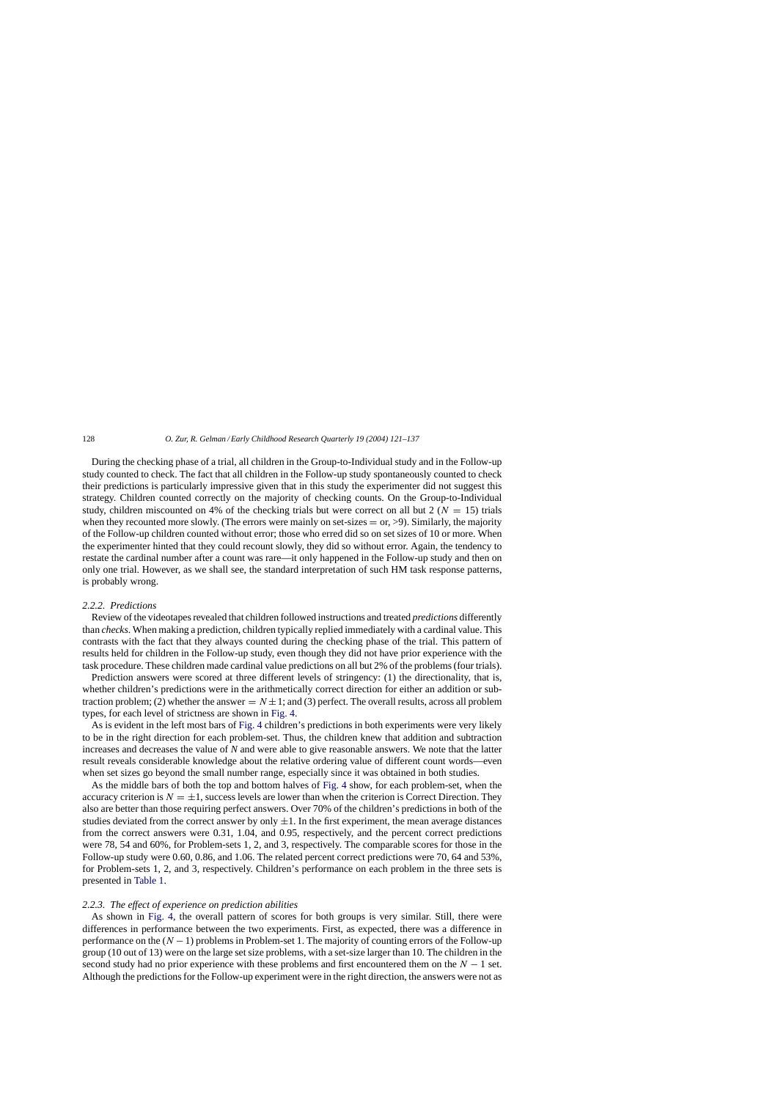During the checking phase of a trial, all children in the Group-to-Individual study and in the Follow-up study counted to check. The fact that all children in the Follow-up study spontaneously counted to check their predictions is particularly impressive given that in this study the experimenter did not suggest this strategy. Children counted correctly on the majority of checking counts. On the Group-to-Individual study, children miscounted on 4% of the checking trials but were correct on all but 2 ( $N = 15$ ) trials when they recounted more slowly. (The errors were mainly on set-sizes  $=$  or,  $>$ 9). Similarly, the majority of the Follow-up children counted without error; those who erred did so on set sizes of 10 or more. When the experimenter hinted that they could recount slowly, they did so without error. Again, the tendency to restate the cardinal number after a count was rare—it only happened in the Follow-up study and then on only one trial. However, as we shall see, the standard interpretation of such HM task response patterns, is probably wrong.

#### *2.2.2. Predictions*

Review of the videotapes revealed that children followed instructions and treated *predictions* differently than *checks*. When making a prediction, children typically replied immediately with a cardinal value. This contrasts with the fact that they always counted during the checking phase of the trial. This pattern of results held for children in the Follow-up study, even though they did not have prior experience with the task procedure. These children made cardinal value predictions on all but 2% of the problems (four trials).

Prediction answers were scored at three different levels of stringency: (1) the directionality, that is, whether children's predictions were in the arithmetically correct direction for either an addition or subtraction problem; (2) whether the answer  $= N \pm 1$ ; and (3) perfect. The overall results, across all problem types, for each level of strictness are shown in [Fig. 4.](#page-8-0)

As is evident in the left most bars of [Fig. 4](#page-8-0) children's predictions in both experiments were very likely to be in the right direction for each problem-set. Thus, the children knew that addition and subtraction increases and decreases the value of *N* and were able to give reasonable answers. We note that the latter result reveals considerable knowledge about the relative ordering value of different count words—even when set sizes go beyond the small number range, especially since it was obtained in both studies.

As the middle bars of both the top and bottom halves of [Fig. 4](#page-8-0) show, for each problem-set, when the accuracy criterion is  $N = \pm 1$ , success levels are lower than when the criterion is Correct Direction. They also are better than those requiring perfect answers. Over 70% of the children's predictions in both of the studies deviated from the correct answer by only  $\pm 1$ . In the first experiment, the mean average distances from the correct answers were 0.31, 1.04, and 0.95, respectively, and the percent correct predictions were 78, 54 and 60%, for Problem-sets 1, 2, and 3, respectively. The comparable scores for those in the Follow-up study were 0.60, 0.86, and 1.06. The related percent correct predictions were 70, 64 and 53%, for Problem-sets 1, 2, and 3, respectively. Children's performance on each problem in the three sets is presented in [Table 1.](#page-5-0)

## *2.2.3. The effect of experience on prediction abilities*

As shown in [Fig. 4,](#page-8-0) the overall pattern of scores for both groups is very similar. Still, there were differences in performance between the two experiments. First, as expected, there was a difference in performance on the  $(N - 1)$  problems in Problem-set 1. The majority of counting errors of the Follow-up group (10 out of 13) were on the large set size problems, with a set-size larger than 10. The children in the second study had no prior experience with these problems and first encountered them on the  $N - 1$  set. Although the predictions for the Follow-up experiment were in the right direction, the answers were not as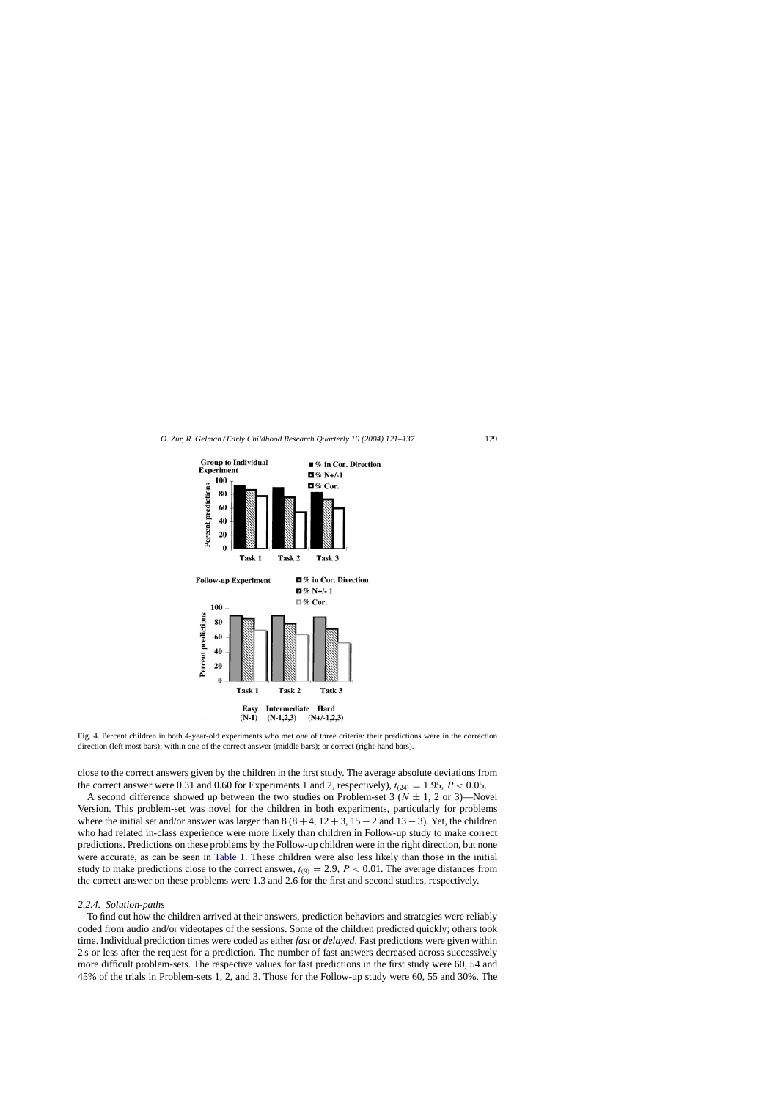<span id="page-8-0"></span>

Fig. 4. Percent children in both 4-year-old experiments who met one of three criteria: their predictions were in the correction direction (left most bars); within one of the correct answer (middle bars); or correct (right-hand bars).

close to the correct answers given by the children in the first study. The average absolute deviations from the correct answer were 0.31 and 0.60 for Experiments 1 and 2, respectively),  $t_{(24)} = 1.95$ ,  $P < 0.05$ .

A second difference showed up between the two studies on Problem-set 3 ( $N \pm 1$ , 2 or 3)—Novel Version. This problem-set was novel for the children in both experiments, particularly for problems where the initial set and/or answer was larger than  $8(8 + 4, 12 + 3, 15 - 2$  and  $13 - 3)$ . Yet, the children who had related in-class experience were more likely than children in Follow-up study to make correct predictions. Predictions on these problems by the Follow-up children were in the right direction, but none were accurate, as can be seen in [Table 1.](#page-5-0) These children were also less likely than those in the initial study to make predictions close to the correct answer,  $t_{(9)} = 2.9$ ,  $P < 0.01$ . The average distances from the correct answer on these problems were 1.3 and 2.6 for the first and second studies, respectively.

#### *2.2.4. Solution-paths*

To find out how the children arrived at their answers, prediction behaviors and strategies were reliably coded from audio and/or videotapes of the sessions. Some of the children predicted quickly; others took time. Individual prediction times were coded as either *fast* or *delayed*. Fast predictions were given within 2 s or less after the request for a prediction. The number of fast answers decreased across successively more difficult problem-sets. The respective values for fast predictions in the first study were 60, 54 and 45% of the trials in Problem-sets 1, 2, and 3. Those for the Follow-up study were 60, 55 and 30%. The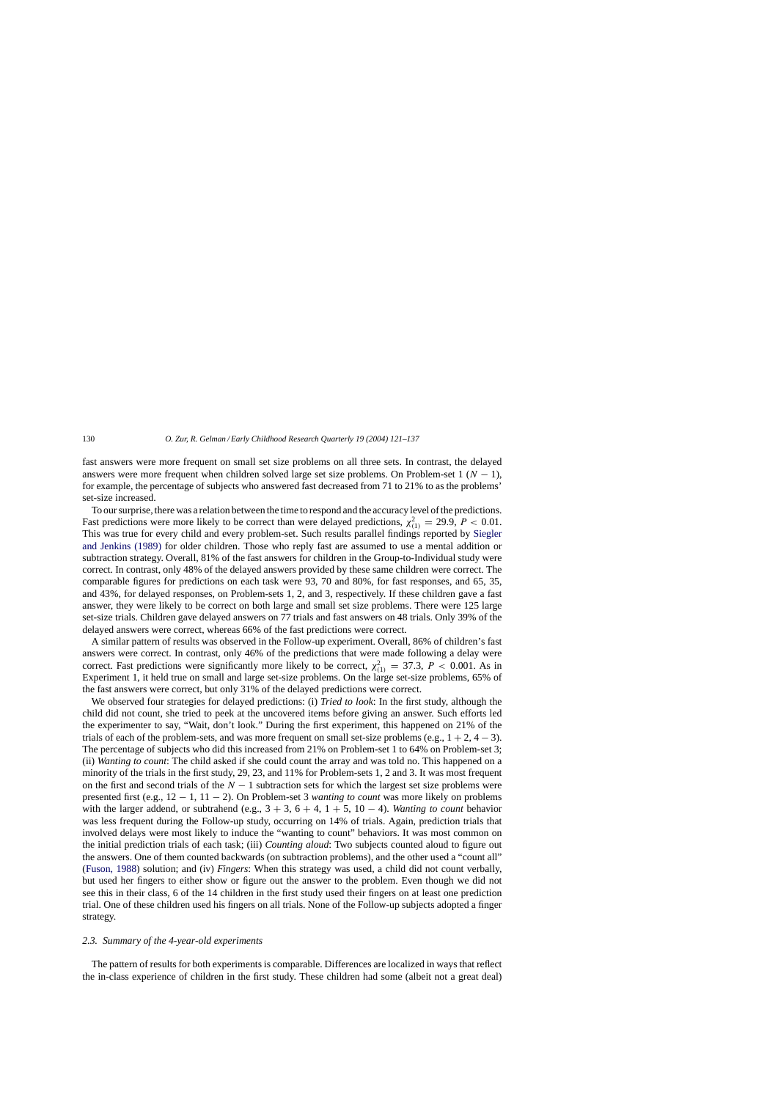fast answers were more frequent on small set size problems on all three sets. In contrast, the delayed answers were more frequent when children solved large set size problems. On Problem-set 1 ( $N - 1$ ), for example, the percentage of subjects who answered fast decreased from 71 to 21% to as the problems' set-size increased.

To our surprise, there was a relation between the time to respond and the accuracy level of the predictions. Fast predictions were more likely to be correct than were delayed predictions,  $\chi^2_{(1)} = 29.9$ ,  $P < 0.01$ . This was true for every child and every problem-set. Such results parallel findings reported by [Siegler](#page-15-0) [and Jenkins \(1989\)](#page-15-0) for older children. Those who reply fast are assumed to use a mental addition or subtraction strategy. Overall, 81% of the fast answers for children in the Group-to-Individual study were correct. In contrast, only 48% of the delayed answers provided by these same children were correct. The comparable figures for predictions on each task were 93, 70 and 80%, for fast responses, and 65, 35, and 43%, for delayed responses, on Problem-sets 1, 2, and 3, respectively. If these children gave a fast answer, they were likely to be correct on both large and small set size problems. There were 125 large set-size trials. Children gave delayed answers on 77 trials and fast answers on 48 trials. Only 39% of the delayed answers were correct, whereas 66% of the fast predictions were correct.

A similar pattern of results was observed in the Follow-up experiment. Overall, 86% of children's fast answers were correct. In contrast, only 46% of the predictions that were made following a delay were correct. Fast predictions were significantly more likely to be correct,  $\chi^2_{(1)} = 37.3$ ,  $P < 0.001$ . As in Experiment 1, it held true on small and large set-size problems. On the large set-size problems, 65% of the fast answers were correct, but only 31% of the delayed predictions were correct.

We observed four strategies for delayed predictions: (i) *Tried to look*: In the first study, although the child did not count, she tried to peek at the uncovered items before giving an answer. Such efforts led the experimenter to say, "Wait, don't look." During the first experiment, this happened on 21% of the trials of each of the problem-sets, and was more frequent on small set-size problems (e.g.,  $1 + 2$ ,  $4 - 3$ ). The percentage of subjects who did this increased from 21% on Problem-set 1 to 64% on Problem-set 3; (ii) *Wanting to count*: The child asked if she could count the array and was told no. This happened on a minority of the trials in the first study, 29, 23, and 11% for Problem-sets 1, 2 and 3. It was most frequent on the first and second trials of the  $N - 1$  subtraction sets for which the largest set size problems were presented first (e.g., 12 − 1, 11 − 2). On Problem-set 3 *wanting to count* was more likely on problems with the larger addend, or subtrahend (e.g.,  $3 + 3$ ,  $6 + 4$ ,  $1 + 5$ ,  $10 - 4$ ). *Wanting to count* behavior was less frequent during the Follow-up study, occurring on 14% of trials. Again, prediction trials that involved delays were most likely to induce the "wanting to count" behaviors. It was most common on the initial prediction trials of each task; (iii) *Counting aloud*: Two subjects counted aloud to figure out the answers. One of them counted backwards (on subtraction problems), and the other used a "count all" ([Fuson, 1988\)](#page-15-0) solution; and (iv) *Fingers*: When this strategy was used, a child did not count verbally, but used her fingers to either show or figure out the answer to the problem. Even though we did not see this in their class, 6 of the 14 children in the first study used their fingers on at least one prediction trial. One of these children used his fingers on all trials. None of the Follow-up subjects adopted a finger strategy.

## *2.3. Summary of the 4-year-old experiments*

The pattern of results for both experiments is comparable. Differences are localized in ways that reflect the in-class experience of children in the first study. These children had some (albeit not a great deal)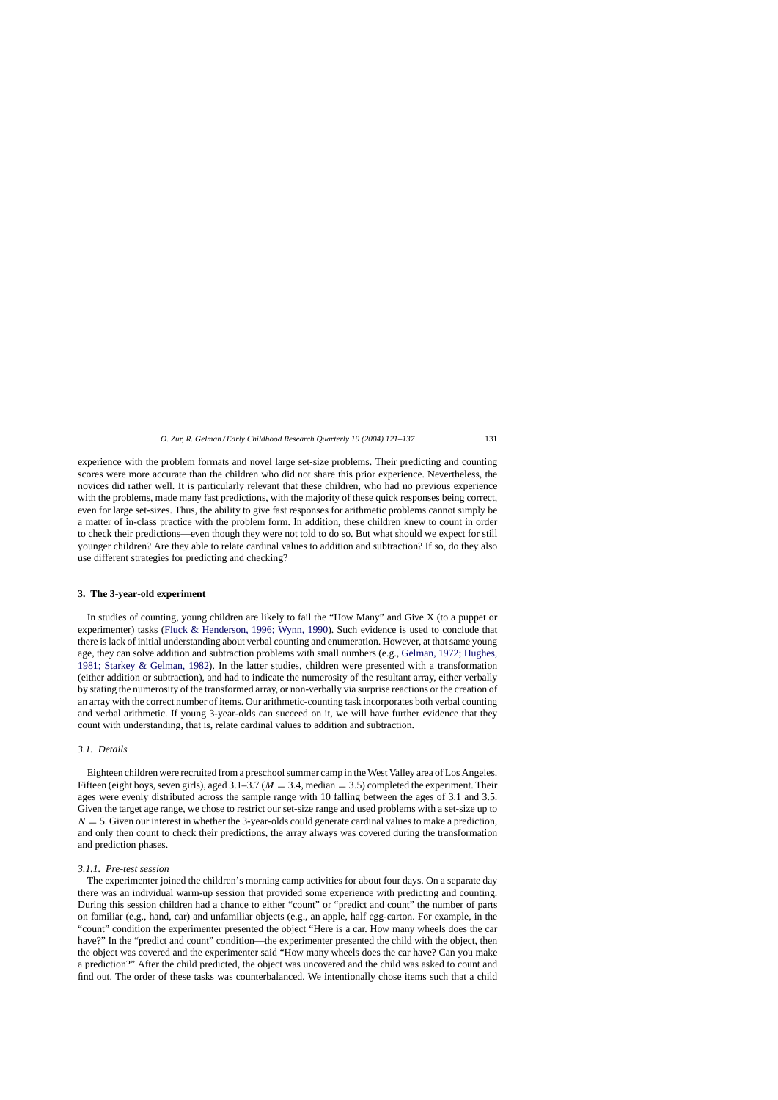experience with the problem formats and novel large set-size problems. Their predicting and counting scores were more accurate than the children who did not share this prior experience. Nevertheless, the novices did rather well. It is particularly relevant that these children, who had no previous experience with the problems, made many fast predictions, with the majority of these quick responses being correct, even for large set-sizes. Thus, the ability to give fast responses for arithmetic problems cannot simply be a matter of in-class practice with the problem form. In addition, these children knew to count in order to check their predictions—even though they were not told to do so. But what should we expect for still younger children? Are they able to relate cardinal values to addition and subtraction? If so, do they also use different strategies for predicting and checking?

## **3. The 3-year-old experiment**

In studies of counting, young children are likely to fail the "How Many" and Give X (to a puppet or experimenter) tasks [\(Fluck & Henderson, 1996; Wynn, 1990\)](#page-15-0). Such evidence is used to conclude that there is lack of initial understanding about verbal counting and enumeration. However, at that same young age, they can solve addition and subtraction problems with small numbers (e.g., [Gelman, 1972; Hughes,](#page-15-0) [1981; Starkey & Gelman, 1982](#page-15-0)). In the latter studies, children were presented with a transformation (either addition or subtraction), and had to indicate the numerosity of the resultant array, either verbally by stating the numerosity of the transformed array, or non-verbally via surprise reactions or the creation of an array with the correct number of items. Our arithmetic-counting task incorporates both verbal counting and verbal arithmetic. If young 3-year-olds can succeed on it, we will have further evidence that they count with understanding, that is, relate cardinal values to addition and subtraction.

## *3.1. Details*

Eighteen children were recruited from a preschool summer camp in the West Valley area of Los Angeles. Fifteen (eight boys, seven girls), aged  $3.1-3.7$  ( $M = 3.4$ , median = 3.5) completed the experiment. Their ages were evenly distributed across the sample range with 10 falling between the ages of 3.1 and 3.5. Given the target age range, we chose to restrict our set-size range and used problems with a set-size up to  $N = 5$ . Given our interest in whether the 3-year-olds could generate cardinal values to make a prediction, and only then count to check their predictions, the array always was covered during the transformation and prediction phases.

# *3.1.1. Pre-test session*

The experimenter joined the children's morning camp activities for about four days. On a separate day there was an individual warm-up session that provided some experience with predicting and counting. During this session children had a chance to either "count" or "predict and count" the number of parts on familiar (e.g., hand, car) and unfamiliar objects (e.g., an apple, half egg-carton. For example, in the "count" condition the experimenter presented the object "Here is a car. How many wheels does the car have?" In the "predict and count" condition—the experimenter presented the child with the object, then the object was covered and the experimenter said "How many wheels does the car have? Can you make a prediction?" After the child predicted, the object was uncovered and the child was asked to count and find out. The order of these tasks was counterbalanced. We intentionally chose items such that a child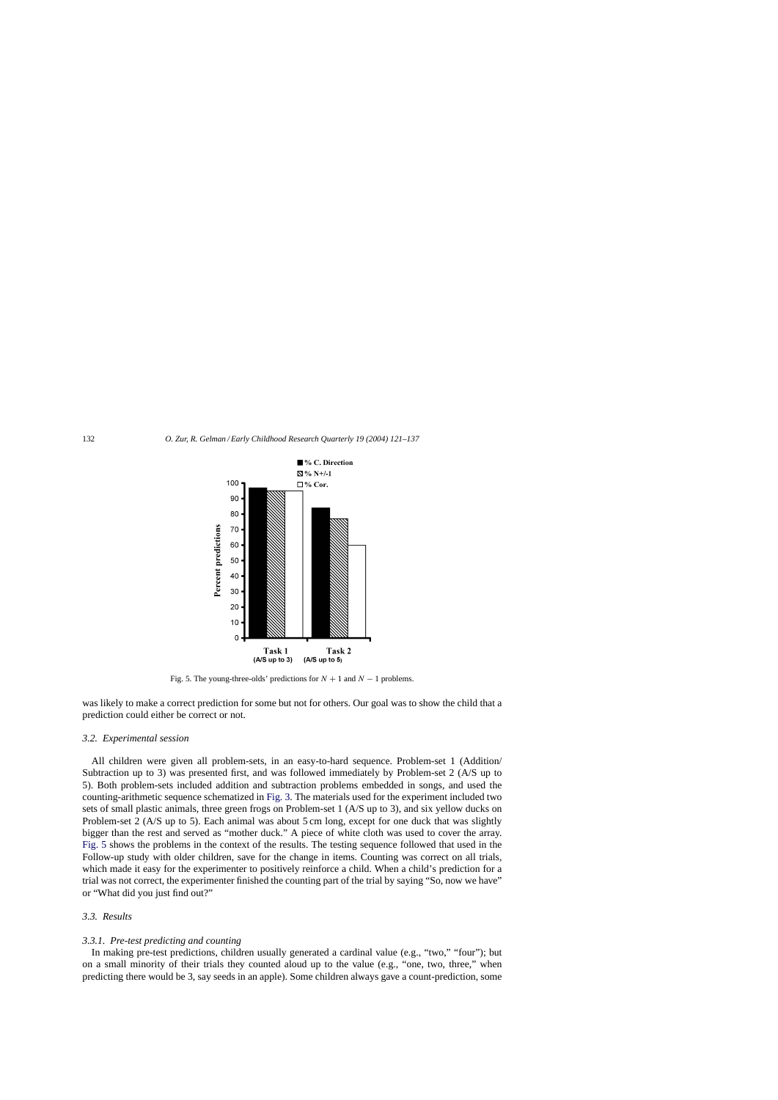<span id="page-11-0"></span>

Fig. 5. The young-three-olds' predictions for  $N + 1$  and  $N - 1$  problems.

was likely to make a correct prediction for some but not for others. Our goal was to show the child that a prediction could either be correct or not.

#### *3.2. Experimental session*

All children were given all problem-sets, in an easy-to-hard sequence. Problem-set 1 (Addition/ Subtraction up to 3) was presented first, and was followed immediately by Problem-set 2 (A/S up to 5). Both problem-sets included addition and subtraction problems embedded in songs, and used the counting-arithmetic sequence schematized in [Fig. 3.](#page-3-0) The materials used for the experiment included two sets of small plastic animals, three green frogs on Problem-set 1 (A/S up to 3), and six yellow ducks on Problem-set 2 (A/S up to 5). Each animal was about 5 cm long, except for one duck that was slightly bigger than the rest and served as "mother duck." A piece of white cloth was used to cover the array. Fig. 5 shows the problems in the context of the results. The testing sequence followed that used in the Follow-up study with older children, save for the change in items. Counting was correct on all trials, which made it easy for the experimenter to positively reinforce a child. When a child's prediction for a trial was not correct, the experimenter finished the counting part of the trial by saying "So, now we have" or "What did you just find out?"

# *3.3. Results*

## *3.3.1. Pre-test predicting and counting*

In making pre-test predictions, children usually generated a cardinal value (e.g., "two," "four"); but on a small minority of their trials they counted aloud up to the value (e.g., "one, two, three," when predicting there would be 3, say seeds in an apple). Some children always gave a count-prediction, some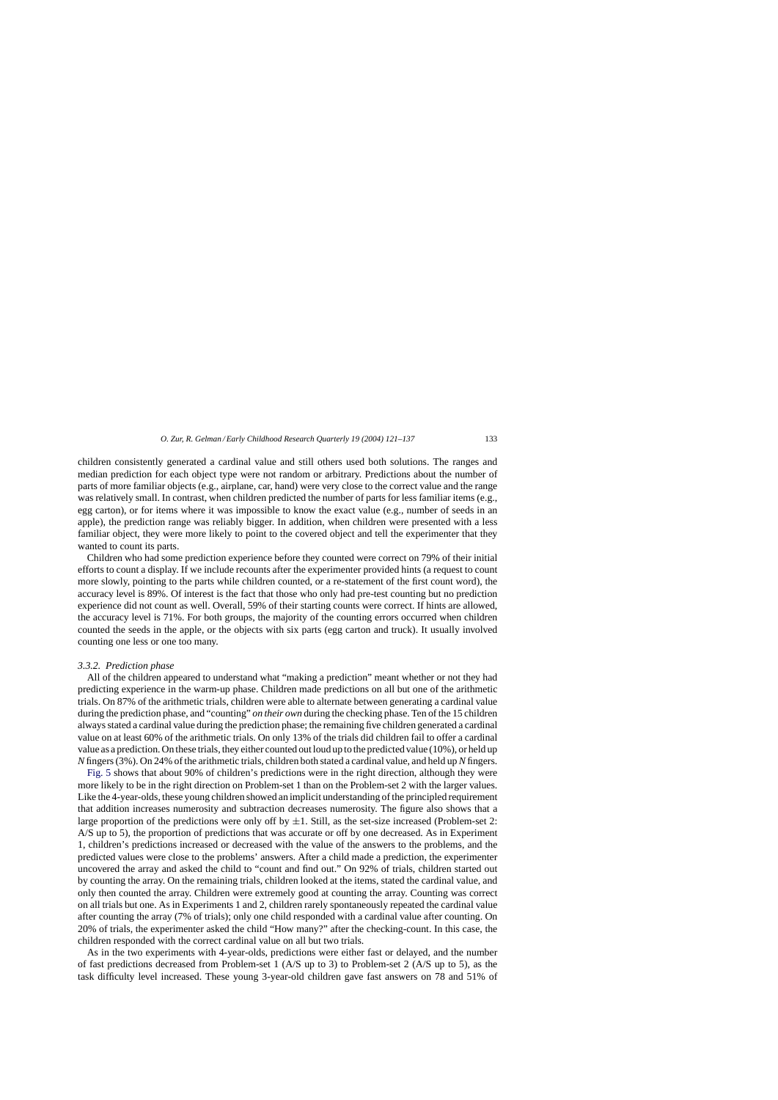children consistently generated a cardinal value and still others used both solutions. The ranges and median prediction for each object type were not random or arbitrary. Predictions about the number of parts of more familiar objects (e.g., airplane, car, hand) were very close to the correct value and the range was relatively small. In contrast, when children predicted the number of parts for less familiar items (e.g., egg carton), or for items where it was impossible to know the exact value (e.g., number of seeds in an apple), the prediction range was reliably bigger. In addition, when children were presented with a less familiar object, they were more likely to point to the covered object and tell the experimenter that they wanted to count its parts.

Children who had some prediction experience before they counted were correct on 79% of their initial efforts to count a display. If we include recounts after the experimenter provided hints (a request to count more slowly, pointing to the parts while children counted, or a re-statement of the first count word), the accuracy level is 89%. Of interest is the fact that those who only had pre-test counting but no prediction experience did not count as well. Overall, 59% of their starting counts were correct. If hints are allowed, the accuracy level is 71%. For both groups, the majority of the counting errors occurred when children counted the seeds in the apple, or the objects with six parts (egg carton and truck). It usually involved counting one less or one too many.

#### *3.3.2. Prediction phase*

All of the children appeared to understand what "making a prediction" meant whether or not they had predicting experience in the warm-up phase. Children made predictions on all but one of the arithmetic trials. On 87% of the arithmetic trials, children were able to alternate between generating a cardinal value during the prediction phase, and "counting" *on their own* during the checking phase. Ten of the 15 children always stated a cardinal value during the prediction phase; the remaining five children generated a cardinal value on at least 60% of the arithmetic trials. On only 13% of the trials did children fail to offer a cardinal value as a prediction. On these trials, they either counted out loud up to the predicted value (10%), or held up *N*fingers (3%). On 24% of the arithmetic trials, children both stated a cardinal value, and held up*N*fingers.

[Fig. 5](#page-11-0) shows that about 90% of children's predictions were in the right direction, although they were more likely to be in the right direction on Problem-set 1 than on the Problem-set 2 with the larger values. Like the 4-year-olds, these young children showed an implicit understanding of the principled requirement that addition increases numerosity and subtraction decreases numerosity. The figure also shows that a large proportion of the predictions were only off by  $\pm 1$ . Still, as the set-size increased (Problem-set 2: A/S up to 5), the proportion of predictions that was accurate or off by one decreased. As in Experiment 1, children's predictions increased or decreased with the value of the answers to the problems, and the predicted values were close to the problems' answers. After a child made a prediction, the experimenter uncovered the array and asked the child to "count and find out." On 92% of trials, children started out by counting the array. On the remaining trials, children looked at the items, stated the cardinal value, and only then counted the array. Children were extremely good at counting the array. Counting was correct on all trials but one. As in Experiments 1 and 2, children rarely spontaneously repeated the cardinal value after counting the array (7% of trials); only one child responded with a cardinal value after counting. On 20% of trials, the experimenter asked the child "How many?" after the checking-count. In this case, the children responded with the correct cardinal value on all but two trials.

As in the two experiments with 4-year-olds, predictions were either fast or delayed, and the number of fast predictions decreased from Problem-set 1 (A/S up to 3) to Problem-set 2 (A/S up to 5), as the task difficulty level increased. These young 3-year-old children gave fast answers on 78 and 51% of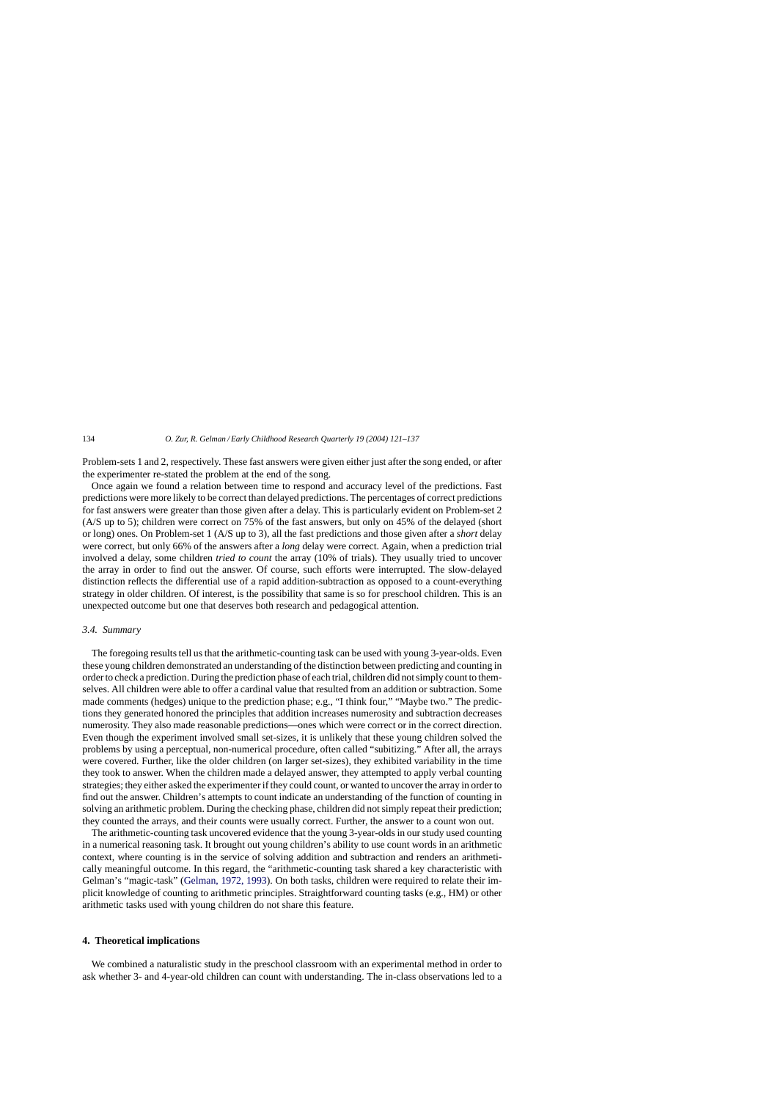Problem-sets 1 and 2, respectively. These fast answers were given either just after the song ended, or after the experimenter re-stated the problem at the end of the song.

Once again we found a relation between time to respond and accuracy level of the predictions. Fast predictions were more likely to be correct than delayed predictions. The percentages of correct predictions for fast answers were greater than those given after a delay. This is particularly evident on Problem-set 2 (A/S up to 5); children were correct on 75% of the fast answers, but only on 45% of the delayed (short or long) ones. On Problem-set 1 (A/S up to 3), all the fast predictions and those given after a *short* delay were correct, but only 66% of the answers after a *long* delay were correct. Again, when a prediction trial involved a delay, some children *tried to count* the array (10% of trials). They usually tried to uncover the array in order to find out the answer. Of course, such efforts were interrupted. The slow-delayed distinction reflects the differential use of a rapid addition-subtraction as opposed to a count-everything strategy in older children. Of interest, is the possibility that same is so for preschool children. This is an unexpected outcome but one that deserves both research and pedagogical attention.

## *3.4. Summary*

The foregoing results tell us that the arithmetic-counting task can be used with young 3-year-olds. Even these young children demonstrated an understanding of the distinction between predicting and counting in order to check a prediction. During the prediction phase of each trial, children did not simply count to themselves. All children were able to offer a cardinal value that resulted from an addition or subtraction. Some made comments (hedges) unique to the prediction phase; e.g., "I think four," "Maybe two." The predictions they generated honored the principles that addition increases numerosity and subtraction decreases numerosity. They also made reasonable predictions—ones which were correct or in the correct direction. Even though the experiment involved small set-sizes, it is unlikely that these young children solved the problems by using a perceptual, non-numerical procedure, often called "subitizing." After all, the arrays were covered. Further, like the older children (on larger set-sizes), they exhibited variability in the time they took to answer. When the children made a delayed answer, they attempted to apply verbal counting strategies; they either asked the experimenter if they could count, or wanted to uncover the array in order to find out the answer. Children's attempts to count indicate an understanding of the function of counting in solving an arithmetic problem. During the checking phase, children did not simply repeat their prediction; they counted the arrays, and their counts were usually correct. Further, the answer to a count won out.

The arithmetic-counting task uncovered evidence that the young 3-year-olds in our study used counting in a numerical reasoning task. It brought out young children's ability to use count words in an arithmetic context, where counting is in the service of solving addition and subtraction and renders an arithmetically meaningful outcome. In this regard, the "arithmetic-counting task shared a key characteristic with Gelman's "magic-task" [\(Gelman, 1972, 1993\).](#page-15-0) On both tasks, children were required to relate their implicit knowledge of counting to arithmetic principles. Straightforward counting tasks (e.g., HM) or other arithmetic tasks used with young children do not share this feature.

## **4. Theoretical implications**

We combined a naturalistic study in the preschool classroom with an experimental method in order to ask whether 3- and 4-year-old children can count with understanding. The in-class observations led to a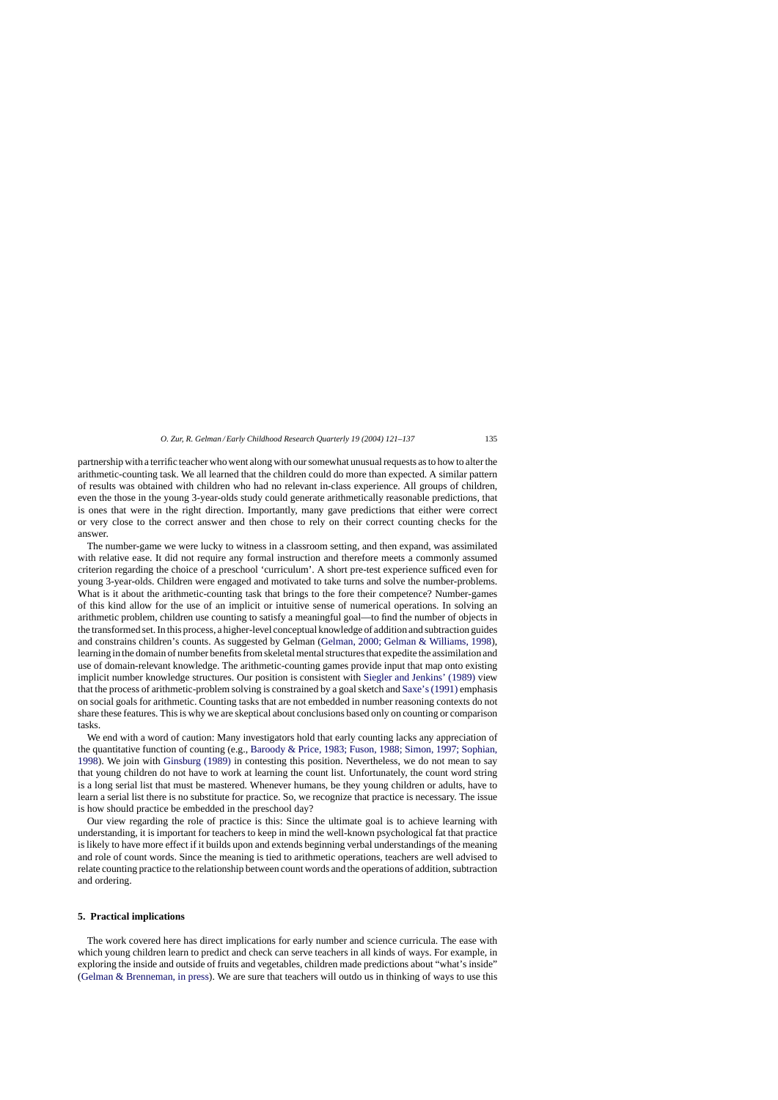partnership with a terrific teacher who went along with our somewhat unusual requests as to how to alter the arithmetic-counting task. We all learned that the children could do more than expected. A similar pattern of results was obtained with children who had no relevant in-class experience. All groups of children, even the those in the young 3-year-olds study could generate arithmetically reasonable predictions, that is ones that were in the right direction. Importantly, many gave predictions that either were correct or very close to the correct answer and then chose to rely on their correct counting checks for the answer.

The number-game we were lucky to witness in a classroom setting, and then expand, was assimilated with relative ease. It did not require any formal instruction and therefore meets a commonly assumed criterion regarding the choice of a preschool 'curriculum'. A short pre-test experience sufficed even for young 3-year-olds. Children were engaged and motivated to take turns and solve the number-problems. What is it about the arithmetic-counting task that brings to the fore their competence? Number-games of this kind allow for the use of an implicit or intuitive sense of numerical operations. In solving an arithmetic problem, children use counting to satisfy a meaningful goal—to find the number of objects in the transformed set. In this process, a higher-level conceptual knowledge of addition and subtraction guides and constrains children's counts. As suggested by Gelman ([Gelman, 2000; Gelman & Williams, 1998\),](#page-15-0) learning in the domain of number benefits from skeletal mental structures that expedite the assimilation and use of domain-relevant knowledge. The arithmetic-counting games provide input that map onto existing implicit number knowledge structures. Our position is consistent with [Siegler and Jenkins' \(1989\)](#page-15-0) view that the process of arithmetic-problem solving is constrained by a goal sketch and [Saxe's \(1991\)](#page-15-0) emphasis on social goals for arithmetic. Counting tasks that are not embedded in number reasoning contexts do not share these features. This is why we are skeptical about conclusions based only on counting or comparison tasks.

We end with a word of caution: Many investigators hold that early counting lacks any appreciation of the quantitative function of counting (e.g., [Baroody & Price, 1983; Fuson, 1988; Simon, 1997; Sophian,](#page-15-0) [1998\).](#page-15-0) We join with [Ginsburg \(1989\)](#page-15-0) in contesting this position. Nevertheless, we do not mean to say that young children do not have to work at learning the count list. Unfortunately, the count word string is a long serial list that must be mastered. Whenever humans, be they young children or adults, have to learn a serial list there is no substitute for practice. So, we recognize that practice is necessary. The issue is how should practice be embedded in the preschool day?

Our view regarding the role of practice is this: Since the ultimate goal is to achieve learning with understanding, it is important for teachers to keep in mind the well-known psychological fat that practice is likely to have more effect if it builds upon and extends beginning verbal understandings of the meaning and role of count words. Since the meaning is tied to arithmetic operations, teachers are well advised to relate counting practice to the relationship between count words and the operations of addition, subtraction and ordering.

# **5. Practical implications**

The work covered here has direct implications for early number and science curricula. The ease with which young children learn to predict and check can serve teachers in all kinds of ways. For example, in exploring the inside and outside of fruits and vegetables, children made predictions about "what's inside" ([Gelman & Brenneman, in press\).](#page-15-0) We are sure that teachers will outdo us in thinking of ways to use this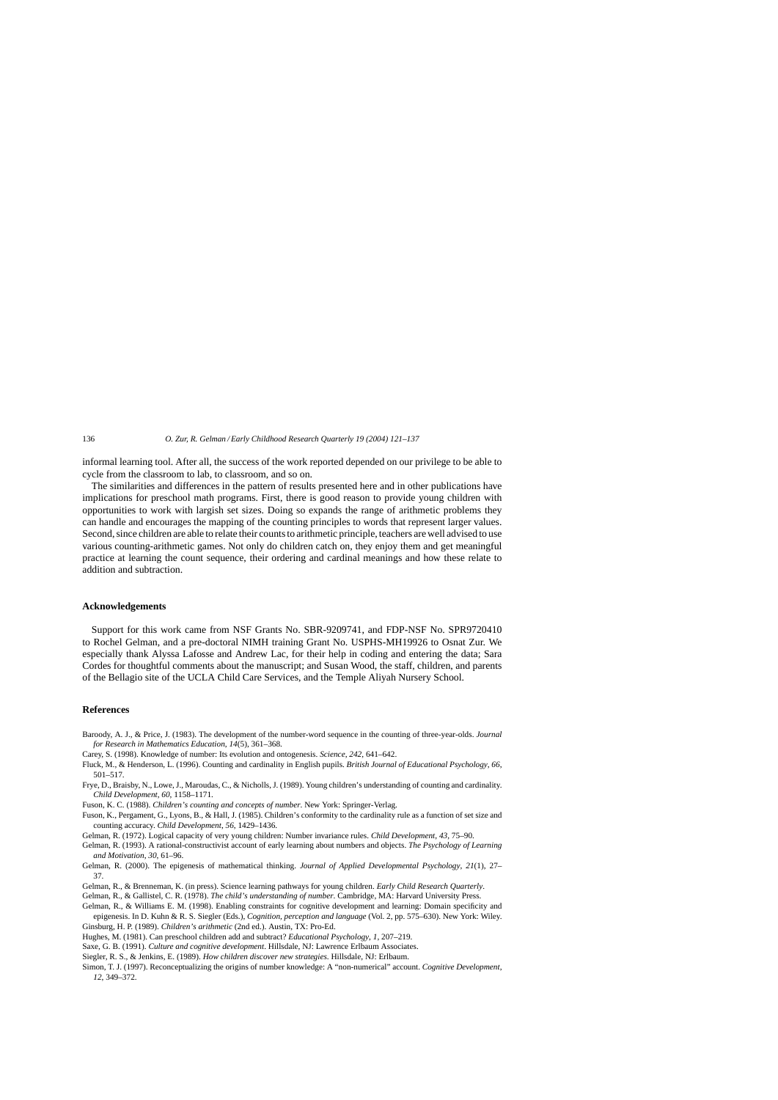<span id="page-15-0"></span>informal learning tool. After all, the success of the work reported depended on our privilege to be able to cycle from the classroom to lab, to classroom, and so on.

The similarities and differences in the pattern of results presented here and in other publications have implications for preschool math programs. First, there is good reason to provide young children with opportunities to work with largish set sizes. Doing so expands the range of arithmetic problems they can handle and encourages the mapping of the counting principles to words that represent larger values. Second, since children are able to relate their counts to arithmetic principle, teachers are well advised to use various counting-arithmetic games. Not only do children catch on, they enjoy them and get meaningful practice at learning the count sequence, their ordering and cardinal meanings and how these relate to addition and subtraction.

#### **Acknowledgements**

Support for this work came from NSF Grants No. SBR-9209741, and FDP-NSF No. SPR9720410 to Rochel Gelman, and a pre-doctoral NIMH training Grant No. USPHS-MH19926 to Osnat Zur. We especially thank Alyssa Lafosse and Andrew Lac, for their help in coding and entering the data; Sara Cordes for thoughtful comments about the manuscript; and Susan Wood, the staff, children, and parents of the Bellagio site of the UCLA Child Care Services, and the Temple Aliyah Nursery School.

## **References**

Baroody, A. J., & Price, J. (1983). The development of the number-word sequence in the counting of three-year-olds. *Journal for Research in Mathematics Education*, *14*(5), 361–368.

Carey, S. (1998). Knowledge of number: Its evolution and ontogenesis. *Science*, *242*, 641–642.

Fluck, M., & Henderson, L. (1996). Counting and cardinality in English pupils. *British Journal of Educational Psychology*, *66*, 501–517.

Frye, D., Braisby, N., Lowe, J., Maroudas, C., & Nicholls, J. (1989). Young children's understanding of counting and cardinality. *Child Development*, *60*, 1158–1171.

Fuson, K. C. (1988). *Children's counting and concepts of number*. New York: Springer-Verlag.

Fuson, K., Pergament, G., Lyons, B., & Hall, J. (1985). Children's conformity to the cardinality rule as a function of set size and counting accuracy. *Child Development*, *56*, 1429–1436.

- Gelman, R. (1972). Logical capacity of very young children: Number invariance rules. *Child Development*, *43*, 75–90.
- Gelman, R. (1993). A rational-constructivist account of early learning about numbers and objects. *The Psychology of Learning and Motivation*, *30*, 61–96.
- Gelman, R. (2000). The epigenesis of mathematical thinking. *Journal of Applied Developmental Psychology*, *21*(1), 27– 37.

Gelman, R., & Brenneman, K. (in press). Science learning pathways for young children. *Early Child Research Quarterly*.

- Gelman, R., & Gallistel, C. R. (1978). *The child's understanding of number*. Cambridge, MA: Harvard University Press.
- Gelman, R., & Williams E. M. (1998). Enabling constraints for cognitive development and learning: Domain specificity and epigenesis. In D. Kuhn & R. S. Siegler (Eds.), *Cognition, perception and language* (Vol. 2, pp. 575–630). New York: Wiley.
- Ginsburg, H. P. (1989). *Children's arithmetic* (2nd ed.). Austin, TX: Pro-Ed.
- Hughes, M. (1981). Can preschool children add and subtract? *Educational Psychology*, *1*, 207–219.
- Saxe, G. B. (1991). *Culture and cognitive development*. Hillsdale, NJ: Lawrence Erlbaum Associates.
- Siegler, R. S., & Jenkins, E. (1989). *How children discover new strategies*. Hillsdale, NJ: Erlbaum.
- Simon, T. J. (1997). Reconceptualizing the origins of number knowledge: A "non-numerical" account. *Cognitive Development*, *12*, 349–372.